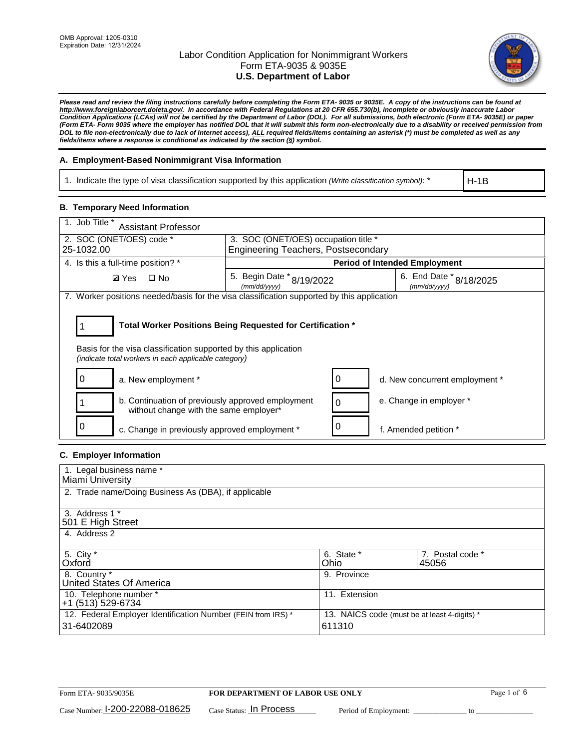

*Please read and review the filing instructions carefully before completing the Form ETA- 9035 or 9035E. A copy of the instructions can be found at [http://www.foreignlaborcert.doleta.gov/.](http://www.foreignlaborcert.doleta.gov/) In accordance with Federal Regulations at 20 CFR 655.730(b), incomplete or obviously inaccurate Labor Condition Applications (LCAs) will not be certified by the Department of Labor (DOL). For all submissions, both electronic (Form ETA- 9035E) or paper (Form ETA- Form 9035 where the employer has notified DOL that it will submit this form non-electronically due to a disability or received permission from DOL to file non-electronically due to lack of Internet access), ALL required fields/items containing an asterisk (\*) must be completed as well as any fields/items where a response is conditional as indicated by the section (§) symbol.* 

### **A. Employment-Based Nonimmigrant Visa Information**

1. Indicate the type of visa classification supported by this application *(Write classification symbol)*: \*

H-1B

### **B. Temporary Need Information**

| 1. Job Title *<br><b>Assistant Professor</b>                                                                            |                                                            |          |                                         |  |  |
|-------------------------------------------------------------------------------------------------------------------------|------------------------------------------------------------|----------|-----------------------------------------|--|--|
| 2. SOC (ONET/OES) code *                                                                                                | 3. SOC (ONET/OES) occupation title *                       |          |                                         |  |  |
| 25-1032.00                                                                                                              | <b>Engineering Teachers, Postsecondary</b>                 |          |                                         |  |  |
| 4. Is this a full-time position? *                                                                                      |                                                            |          | <b>Period of Intended Employment</b>    |  |  |
| $\Box$ No<br><b>Ø</b> Yes                                                                                               | 5. Begin Date $*_{8/19/2022}$<br>(mm/dd/yyyy)              |          | 6. End Date * 8/18/2025<br>(mm/dd/yyyy) |  |  |
| 7. Worker positions needed/basis for the visa classification supported by this application                              |                                                            |          |                                         |  |  |
|                                                                                                                         |                                                            |          |                                         |  |  |
|                                                                                                                         | Total Worker Positions Being Requested for Certification * |          |                                         |  |  |
| Basis for the visa classification supported by this application<br>(indicate total workers in each applicable category) |                                                            |          |                                         |  |  |
| 0<br>a. New employment *                                                                                                |                                                            | 0        | d. New concurrent employment *          |  |  |
| b. Continuation of previously approved employment<br>without change with the same employer*                             |                                                            | $\Omega$ | e. Change in employer *                 |  |  |
| c. Change in previously approved employment *                                                                           |                                                            | 0        | f. Amended petition *                   |  |  |

### **C. Employer Information**

| 1. Legal business name *                                                   |                                                        |                           |
|----------------------------------------------------------------------------|--------------------------------------------------------|---------------------------|
| Miami University                                                           |                                                        |                           |
| 2. Trade name/Doing Business As (DBA), if applicable                       |                                                        |                           |
| 3. Address 1 *<br>501 E High Street<br>4. Address 2                        |                                                        |                           |
| 5. City *<br>Oxford                                                        | 6. State *<br>Ohio                                     | 7. Postal code *<br>45056 |
| 8. Country *<br>United States Of America                                   | 9. Province                                            |                           |
| 10. Telephone number *<br>+1 (513) 529-6734                                | 11. Extension                                          |                           |
| 12. Federal Employer Identification Number (FEIN from IRS) *<br>31-6402089 | 13. NAICS code (must be at least 4-digits) *<br>611310 |                           |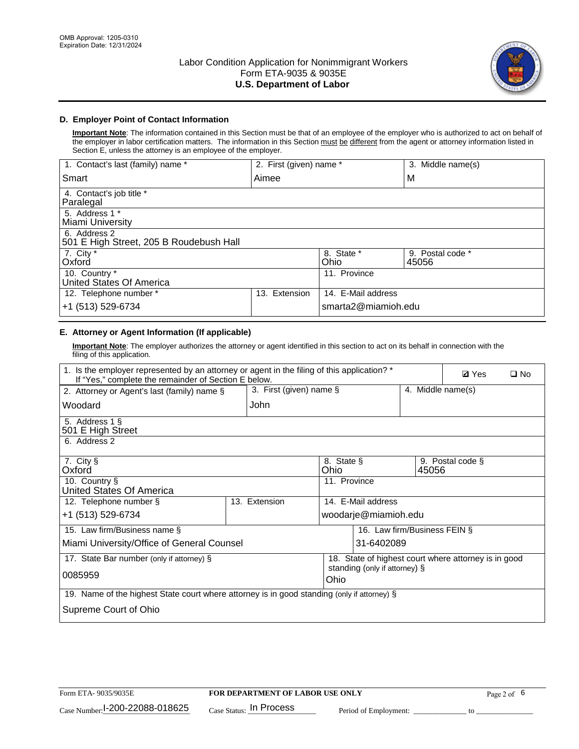

# **D. Employer Point of Contact Information**

**Important Note**: The information contained in this Section must be that of an employee of the employer who is authorized to act on behalf of the employer in labor certification matters. The information in this Section must be different from the agent or attorney information listed in Section E, unless the attorney is an employee of the employer.

| 1. Contact's last (family) name *                       | 2. First (given) name * |                     | 3. Middle name(s)         |
|---------------------------------------------------------|-------------------------|---------------------|---------------------------|
| Smart                                                   | Aimee                   |                     | M                         |
| 4. Contact's job title *<br>Paralegal                   |                         |                     |                           |
| 5. Address 1 *<br>Miami University                      |                         |                     |                           |
| 6. Address 2<br>501 E High Street, 205 B Roudebush Hall |                         |                     |                           |
| 7. City *<br>Oxford                                     |                         | 8. State *<br>Ohio  | 9. Postal code *<br>45056 |
| 10. Country *<br>United States Of America               |                         | 11. Province        |                           |
| 12. Telephone number *                                  | Extension<br>13.        | 14. E-Mail address  |                           |
| +1 (513) 529-6734                                       |                         | smarta2@miamioh.edu |                           |

# **E. Attorney or Agent Information (If applicable)**

**Important Note**: The employer authorizes the attorney or agent identified in this section to act on its behalf in connection with the filing of this application.

| 1. Is the employer represented by an attorney or agent in the filing of this application? *<br>If "Yes," complete the remainder of Section E below. | <b>Ø</b> Yes            | $\square$ No                          |                              |                                                      |  |
|-----------------------------------------------------------------------------------------------------------------------------------------------------|-------------------------|---------------------------------------|------------------------------|------------------------------------------------------|--|
| 2. Attorney or Agent's last (family) name §                                                                                                         | 3. First (given) name § |                                       | 4. Middle name(s)            |                                                      |  |
| Woodard                                                                                                                                             | John                    |                                       |                              |                                                      |  |
| 5. Address 1 §<br>501 E High Street                                                                                                                 |                         |                                       |                              |                                                      |  |
| 6. Address 2                                                                                                                                        |                         |                                       |                              |                                                      |  |
| 7. City §<br>Oxford                                                                                                                                 |                         | 8. State §<br>Ohio                    | 45056                        | 9. Postal code §                                     |  |
| 10. Country §<br>United States Of America                                                                                                           |                         | 11. Province                          |                              |                                                      |  |
| 12. Telephone number §                                                                                                                              | 13. Extension           | 14. E-Mail address                    |                              |                                                      |  |
| +1 (513) 529-6734                                                                                                                                   |                         | woodarje@miamioh.edu                  |                              |                                                      |  |
| 15. Law firm/Business name §                                                                                                                        |                         |                                       | 16. Law firm/Business FEIN § |                                                      |  |
| Miami University/Office of General Counsel                                                                                                          |                         | 31-6402089                            |                              |                                                      |  |
| 17. State Bar number (only if attorney) §                                                                                                           |                         |                                       |                              | 18. State of highest court where attorney is in good |  |
| 0085959                                                                                                                                             |                         | standing (only if attorney) §<br>Ohio |                              |                                                      |  |
| 19. Name of the highest State court where attorney is in good standing (only if attorney) §                                                         |                         |                                       |                              |                                                      |  |
| Supreme Court of Ohio                                                                                                                               |                         |                                       |                              |                                                      |  |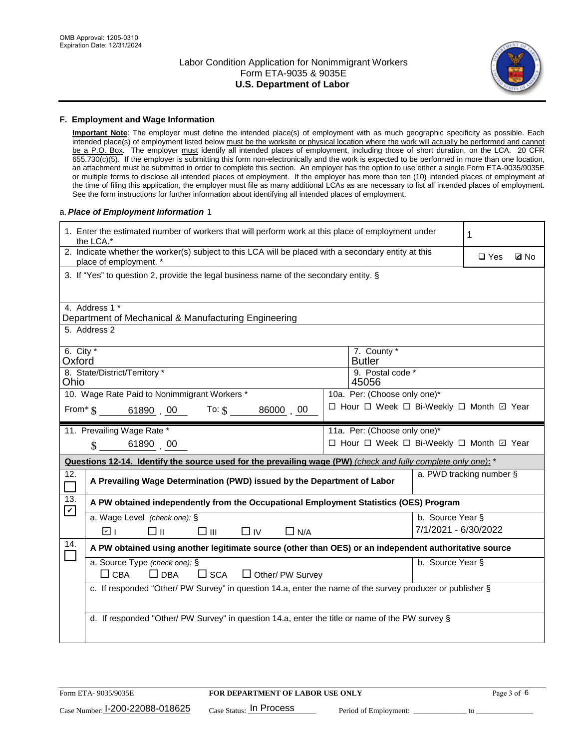

#### **F. Employment and Wage Information**

**Important Note**: The employer must define the intended place(s) of employment with as much geographic specificity as possible. Each intended place(s) of employment listed below must be the worksite or physical location where the work will actually be performed and cannot be a P.O. Box. The employer must identify all intended places of employment, including those of short duration, on the LCA. 20 CFR 655.730(c)(5). If the employer is submitting this form non-electronically and the work is expected to be performed in more than one location, an attachment must be submitted in order to complete this section. An employer has the option to use either a single Form ETA-9035/9035E or multiple forms to disclose all intended places of employment. If the employer has more than ten (10) intended places of employment at the time of filing this application, the employer must file as many additional LCAs as are necessary to list all intended places of employment. See the form instructions for further information about identifying all intended places of employment.

#### a.*Place of Employment Information* 1

|                             | 1. Enter the estimated number of workers that will perform work at this place of employment under<br>the LCA.*                 |  |                                          |                      |                          |             |
|-----------------------------|--------------------------------------------------------------------------------------------------------------------------------|--|------------------------------------------|----------------------|--------------------------|-------------|
|                             | 2. Indicate whether the worker(s) subject to this LCA will be placed with a secondary entity at this<br>place of employment. * |  |                                          |                      | $\Box$ Yes               | <b>Q</b> No |
|                             | 3. If "Yes" to question 2, provide the legal business name of the secondary entity. §                                          |  |                                          |                      |                          |             |
|                             | 4. Address 1 *<br>Department of Mechanical & Manufacturing Engineering                                                         |  |                                          |                      |                          |             |
|                             | 5. Address 2                                                                                                                   |  |                                          |                      |                          |             |
| 6. City *<br>Oxford         |                                                                                                                                |  | 7. County *<br><b>Butler</b>             |                      |                          |             |
| Ohio                        | 8. State/District/Territory *                                                                                                  |  | 9. Postal code *<br>45056                |                      |                          |             |
|                             | 10. Wage Rate Paid to Nonimmigrant Workers *                                                                                   |  | 10a. Per: (Choose only one)*             |                      |                          |             |
|                             | From $\frac{1}{5}$ 61890 00 To: $\frac{1}{5}$<br>86000 00                                                                      |  | □ Hour □ Week □ Bi-Weekly □ Month □ Year |                      |                          |             |
|                             | 11. Prevailing Wage Rate *                                                                                                     |  | 11a. Per: (Choose only one)*             |                      |                          |             |
|                             | 61890 00<br>$\mathcal{S}$                                                                                                      |  | □ Hour □ Week □ Bi-Weekly □ Month ☑ Year |                      |                          |             |
|                             | Questions 12-14. Identify the source used for the prevailing wage (PW) (check and fully complete only one): *                  |  |                                          |                      |                          |             |
| 12.                         | A Prevailing Wage Determination (PWD) issued by the Department of Labor                                                        |  |                                          |                      | a. PWD tracking number § |             |
| 13.<br>$\blacktriangledown$ | A PW obtained independently from the Occupational Employment Statistics (OES) Program                                          |  |                                          |                      |                          |             |
|                             | a. Wage Level (check one): §                                                                                                   |  |                                          | b. Source Year §     |                          |             |
|                             | $\square$ $\square$<br>$\Box$ IV<br>नि⊥<br>⊡⊪<br>$\Box$ N/A                                                                    |  |                                          | 7/1/2021 - 6/30/2022 |                          |             |
| 14.                         | A PW obtained using another legitimate source (other than OES) or an independent authoritative source                          |  |                                          |                      |                          |             |
|                             | a. Source Type (check one): §<br>$\Box$ CBA<br>$\Box$ DBA<br>$\square$ SCA<br>$\Box$ Other/ PW Survey                          |  |                                          | b. Source Year §     |                          |             |
|                             | c. If responded "Other/ PW Survey" in question 14.a, enter the name of the survey producer or publisher §                      |  |                                          |                      |                          |             |
|                             | d. If responded "Other/ PW Survey" in question 14.a, enter the title or name of the PW survey §                                |  |                                          |                      |                          |             |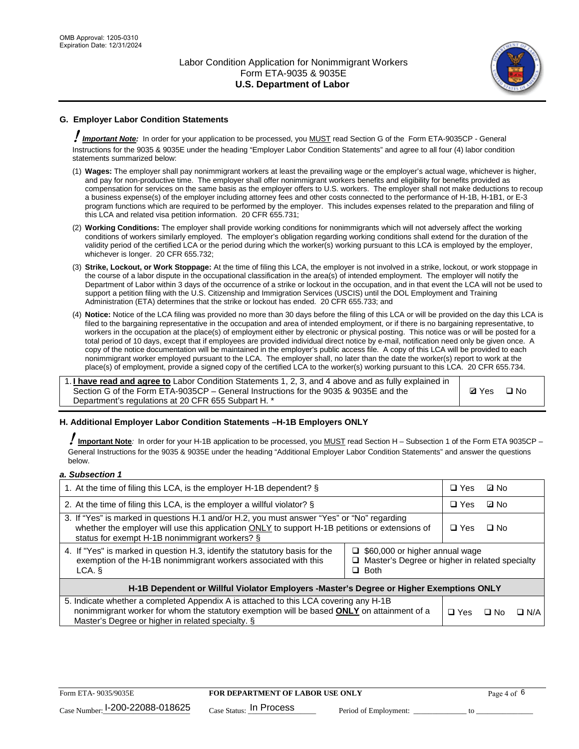

# **G. Employer Labor Condition Statements**

! *Important Note:* In order for your application to be processed, you MUST read Section G of the Form ETA-9035CP - General Instructions for the 9035 & 9035E under the heading "Employer Labor Condition Statements" and agree to all four (4) labor condition statements summarized below:

- (1) **Wages:** The employer shall pay nonimmigrant workers at least the prevailing wage or the employer's actual wage, whichever is higher, and pay for non-productive time. The employer shall offer nonimmigrant workers benefits and eligibility for benefits provided as compensation for services on the same basis as the employer offers to U.S. workers. The employer shall not make deductions to recoup a business expense(s) of the employer including attorney fees and other costs connected to the performance of H-1B, H-1B1, or E-3 program functions which are required to be performed by the employer. This includes expenses related to the preparation and filing of this LCA and related visa petition information. 20 CFR 655.731;
- (2) **Working Conditions:** The employer shall provide working conditions for nonimmigrants which will not adversely affect the working conditions of workers similarly employed. The employer's obligation regarding working conditions shall extend for the duration of the validity period of the certified LCA or the period during which the worker(s) working pursuant to this LCA is employed by the employer, whichever is longer. 20 CFR 655.732;
- (3) **Strike, Lockout, or Work Stoppage:** At the time of filing this LCA, the employer is not involved in a strike, lockout, or work stoppage in the course of a labor dispute in the occupational classification in the area(s) of intended employment. The employer will notify the Department of Labor within 3 days of the occurrence of a strike or lockout in the occupation, and in that event the LCA will not be used to support a petition filing with the U.S. Citizenship and Immigration Services (USCIS) until the DOL Employment and Training Administration (ETA) determines that the strike or lockout has ended. 20 CFR 655.733; and
- (4) **Notice:** Notice of the LCA filing was provided no more than 30 days before the filing of this LCA or will be provided on the day this LCA is filed to the bargaining representative in the occupation and area of intended employment, or if there is no bargaining representative, to workers in the occupation at the place(s) of employment either by electronic or physical posting. This notice was or will be posted for a total period of 10 days, except that if employees are provided individual direct notice by e-mail, notification need only be given once. A copy of the notice documentation will be maintained in the employer's public access file. A copy of this LCA will be provided to each nonimmigrant worker employed pursuant to the LCA. The employer shall, no later than the date the worker(s) report to work at the place(s) of employment, provide a signed copy of the certified LCA to the worker(s) working pursuant to this LCA. 20 CFR 655.734.

1. **I have read and agree to** Labor Condition Statements 1, 2, 3, and 4 above and as fully explained in Section G of the Form ETA-9035CP – General Instructions for the 9035 & 9035E and the Department's regulations at 20 CFR 655 Subpart H. \*

**Ø**Yes ロNo

### **H. Additional Employer Labor Condition Statements –H-1B Employers ONLY**

!**Important Note***:* In order for your H-1B application to be processed, you MUST read Section H – Subsection 1 of the Form ETA 9035CP – General Instructions for the 9035 & 9035E under the heading "Additional Employer Labor Condition Statements" and answer the questions below.

#### *a. Subsection 1*

| 1. At the time of filing this LCA, is the employer H-1B dependent? §                                                                                                                                                                                                    |  |            | ⊡ No      |            |
|-------------------------------------------------------------------------------------------------------------------------------------------------------------------------------------------------------------------------------------------------------------------------|--|------------|-----------|------------|
| 2. At the time of filing this LCA, is the employer a willful violator? $\S$                                                                                                                                                                                             |  |            | ⊡ No      |            |
| 3. If "Yes" is marked in questions H.1 and/or H.2, you must answer "Yes" or "No" regarding<br>whether the employer will use this application ONLY to support H-1B petitions or extensions of<br>status for exempt H-1B nonimmigrant workers? §                          |  |            | $\Box$ No |            |
| 4. If "Yes" is marked in question H.3, identify the statutory basis for the<br>$\Box$ \$60,000 or higher annual wage<br>exemption of the H-1B nonimmigrant workers associated with this<br>$\Box$ Master's Degree or higher in related specialty<br>$\Box$ Both<br>LCA. |  |            |           |            |
| H-1B Dependent or Willful Violator Employers -Master's Degree or Higher Exemptions ONLY                                                                                                                                                                                 |  |            |           |            |
| 5. Indicate whether a completed Appendix A is attached to this LCA covering any H-1B<br>nonimmigrant worker for whom the statutory exemption will be based <b>ONLY</b> on attainment of a<br>Master's Degree or higher in related specialty. §                          |  | $\Box$ Yes | ⊡ No      | $\Box$ N/A |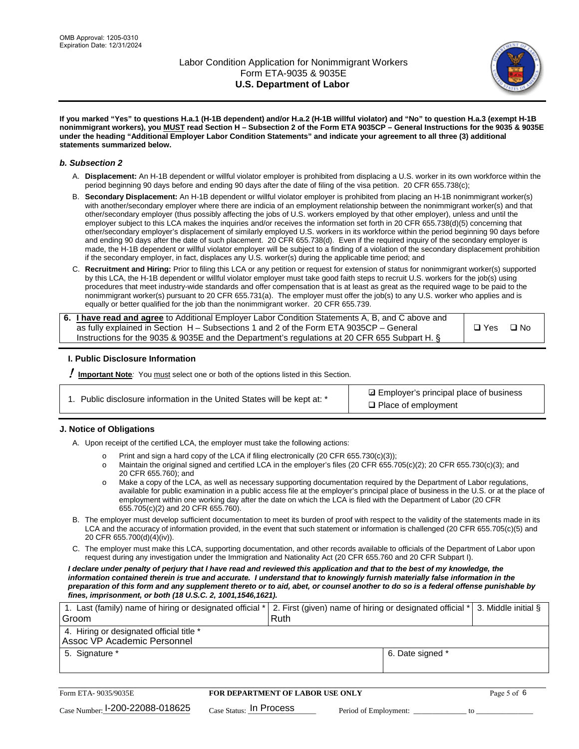

**If you marked "Yes" to questions H.a.1 (H-1B dependent) and/or H.a.2 (H-1B willful violator) and "No" to question H.a.3 (exempt H-1B nonimmigrant workers), you MUST read Section H – Subsection 2 of the Form ETA 9035CP – General Instructions for the 9035 & 9035E under the heading "Additional Employer Labor Condition Statements" and indicate your agreement to all three (3) additional statements summarized below.**

#### *b. Subsection 2*

- A. **Displacement:** An H-1B dependent or willful violator employer is prohibited from displacing a U.S. worker in its own workforce within the period beginning 90 days before and ending 90 days after the date of filing of the visa petition. 20 CFR 655.738(c);
- B. **Secondary Displacement:** An H-1B dependent or willful violator employer is prohibited from placing an H-1B nonimmigrant worker(s) with another/secondary employer where there are indicia of an employment relationship between the nonimmigrant worker(s) and that other/secondary employer (thus possibly affecting the jobs of U.S. workers employed by that other employer), unless and until the employer subject to this LCA makes the inquiries and/or receives the information set forth in 20 CFR 655.738(d)(5) concerning that other/secondary employer's displacement of similarly employed U.S. workers in its workforce within the period beginning 90 days before and ending 90 days after the date of such placement. 20 CFR 655.738(d). Even if the required inquiry of the secondary employer is made, the H-1B dependent or willful violator employer will be subject to a finding of a violation of the secondary displacement prohibition if the secondary employer, in fact, displaces any U.S. worker(s) during the applicable time period; and
- C. **Recruitment and Hiring:** Prior to filing this LCA or any petition or request for extension of status for nonimmigrant worker(s) supported by this LCA, the H-1B dependent or willful violator employer must take good faith steps to recruit U.S. workers for the job(s) using procedures that meet industry-wide standards and offer compensation that is at least as great as the required wage to be paid to the nonimmigrant worker(s) pursuant to 20 CFR 655.731(a). The employer must offer the job(s) to any U.S. worker who applies and is equally or better qualified for the job than the nonimmigrant worker. 20 CFR 655.739.

| 6. I have read and agree to Additional Employer Labor Condition Statements A, B, and C above and |       |           |
|--------------------------------------------------------------------------------------------------|-------|-----------|
| as fully explained in Section H – Subsections 1 and 2 of the Form ETA 9035CP – General           | □ Yes | $\Box$ No |
| Instructions for the 9035 & 9035E and the Department's regulations at 20 CFR 655 Subpart H. §    |       |           |

### **I. Public Disclosure Information**

! **Important Note***:* You must select one or both of the options listed in this Section.

**sqrt** Employer's principal place of business □ Place of employment

### **J. Notice of Obligations**

A. Upon receipt of the certified LCA, the employer must take the following actions:

- o Print and sign a hard copy of the LCA if filing electronically (20 CFR 655.730(c)(3));<br>
Maintain the original signed and certified LCA in the employer's files (20 CFR 655.7
- Maintain the original signed and certified LCA in the employer's files (20 CFR 655.705(c)(2); 20 CFR 655.730(c)(3); and 20 CFR 655.760); and
- o Make a copy of the LCA, as well as necessary supporting documentation required by the Department of Labor regulations, available for public examination in a public access file at the employer's principal place of business in the U.S. or at the place of employment within one working day after the date on which the LCA is filed with the Department of Labor (20 CFR 655.705(c)(2) and 20 CFR 655.760).
- B. The employer must develop sufficient documentation to meet its burden of proof with respect to the validity of the statements made in its LCA and the accuracy of information provided, in the event that such statement or information is challenged (20 CFR 655.705(c)(5) and 20 CFR 655.700(d)(4)(iv)).
- C. The employer must make this LCA, supporting documentation, and other records available to officials of the Department of Labor upon request during any investigation under the Immigration and Nationality Act (20 CFR 655.760 and 20 CFR Subpart I).

*I declare under penalty of perjury that I have read and reviewed this application and that to the best of my knowledge, the*  information contained therein is true and accurate. I understand that to knowingly furnish materially false information in the *preparation of this form and any supplement thereto or to aid, abet, or counsel another to do so is a federal offense punishable by fines, imprisonment, or both (18 U.S.C. 2, 1001,1546,1621).*

| 1. Last (family) name of hiring or designated official *  2. First (given) name of hiring or designated official *  3. Middle initial § |                  |  |
|-----------------------------------------------------------------------------------------------------------------------------------------|------------------|--|
| Groom                                                                                                                                   | Ruth             |  |
| 4. Hiring or designated official title *<br>Assoc VP Academic Personnel                                                                 |                  |  |
| 5. Signature *                                                                                                                          | 6. Date signed * |  |